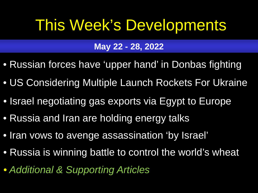# <span id="page-0-0"></span>This Week's Developments

## **May 22 - 28, 2022**

- [Russian forces have 'upper hand' in Donbas fighting](#page-1-0)
- [US Considering Multiple Launch Rockets For Ukraine](#page-2-0)
- [Israel negotiating gas exports via Egypt to Europe](#page-3-0)
- [Russia and Iran are holding energy talks](#page-4-0)
- [Iran vows to avenge assassination 'by Israel'](#page-5-0)
- [Russia is winning battle to control the world's wheat](#page-6-0)
- *[Additional & Supporting Articles](#page-7-0)*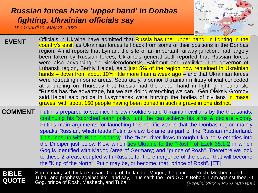## <span id="page-1-0"></span>*[Russian forces have 'upper hand' in Donbas](#page-0-0)  fighting, Ukrainian officials say*

*The Guardian, May 26, 2022*



| <b>EVENT</b>   | Officials in Ukraine have admitted that Russia has the "upper hand" in fighting in the    |
|----------------|-------------------------------------------------------------------------------------------|
|                | country's east, as Ukrainian forces fell back from some of their positions in the Donbas  |
|                | region. Amid reports that Lyman, the site of an important railway junction, had largely   |
|                | been taken by Russian forces, Ukraine's general staff reported that Russian forces        |
|                | were also advancing on Sievierodonetsk, Bakhmut and Avdiivka. The governor of             |
|                | Luhansk region, Serhiy Haidai, said just 5% of the region now remained in Ukrainian       |
|                | hands – down from about 10% little more than a week ago – and that Ukrainian forces       |
|                | were retreating in some areas. Separately, a senior Ukrainian military official conceded  |
|                | at a briefing on Thursday that Russia had the upper hand in fighting in Luhansk.          |
|                | "Russia has the advantage, but we are doing everything we can," Gen Oleksiy Gromov        |
|                | said. Haidai said police in Lysychansk were burying the bodies of civilians in mass       |
|                | graves, with about 150 people having been buried in such a grave in one district.         |
| <b>COMMENT</b> | Putin is prepared to sacrifice his own soldiers and Ukrainian civilians by the thousands, |

continuing his "scorched earth policy" until he can achieve his aims & declare victory. Putin's main arguments for launching this horrific war is that the Donbas region mainly speaks Russian, which leads Putin to view Ukraine as part of the Russian motherland. This lines up with Bible prophecy. The "Ros" river flows through Ukraine & empties into the Dneiper just below Kiev, which ties Ukraine to the "Rosh" of Ezek 38:1-2 in which Gog is identified with [Magog \(area of Germany\) and "prince](#page-10-0) of Rosh". Therefore we look to these 2 areas, coupled with Russia, for the emergence of the power that will become the "King of the North". Putin may be, or become, that "prince of Rosh". [ET]

**BIBLE QUOTE** Son of man, set thy face toward Gog, of the land of Magog, the prince of Rosh, Meshech, and Tubal, and prophesy against him, and say, Thus saith the Lord GOD: Behold, I am against thee, O Gog, prince of Rosh, Meshech, and Tubal: *(Ezekiel 38:2-3 RV & NASB95)*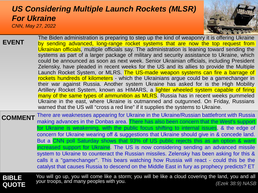#### <span id="page-2-0"></span>*CNN, May 27, 2022 [US Considering Multiple Launch Rockets \(MLSR\)](#page-0-0)  For Ukraine*



| <b>EVENT</b>                 | The Biden administration is preparing to step up the kind of weaponry it is offering Ukraine<br>by sending advanced, long-range rocket systems that are now the top request from<br>Ukrainian officials, multiple officials say. The administration is leaning toward sending the<br>systems as part of a larger package of military and security assistance to Ukraine, which<br>could be announced as soon as next week. Senior Ukrainian officials, including President<br>Zelensky, have pleaded in recent weeks for the US and its allies to provide the Multiple<br>Launch Rocket System, or MLRS. The US-made weapon systems can fire a barrage of<br>rockets hundreds of kilometers - which the Ukrainians argue could be a gamechanger in<br>their war against Russia. Another system Ukraine has asked for is the High Mobility<br>Artillery Rocket System, known as HIMARS, a lighter wheeled system capable of firing<br>many of the same types of ammunition as MLRS. Russia has in recent weeks pummeled<br>Ukraine in the east, where Ukraine is outmanned and outgunned. On Friday, Russians<br>warned that the US will "cross a red line" if it supplies the systems to Ukraine. |
|------------------------------|---------------------------------------------------------------------------------------------------------------------------------------------------------------------------------------------------------------------------------------------------------------------------------------------------------------------------------------------------------------------------------------------------------------------------------------------------------------------------------------------------------------------------------------------------------------------------------------------------------------------------------------------------------------------------------------------------------------------------------------------------------------------------------------------------------------------------------------------------------------------------------------------------------------------------------------------------------------------------------------------------------------------------------------------------------------------------------------------------------------------------------------------------------------------------------------------------|
| <b>COMMENT</b>               | There are weaknesses appearing for Ukraine in the Ukraine/Russian battlefront with Russia<br>making advances in the Donbas area. There has also been concern that the West's support<br>for Ukraine is weakening, with the public focus shifting to internal issues, & the edge of<br>concern for Ukraine wearing off & suggestions that Ukraine should give in & concede land.<br>But a CNN poll Saturday shows that 93% of US public rejects this as an option & want<br>increased support for Ukraine. The US is now considering sending an advanced missile<br>system to Ukraine to counteract the Russian missiles. Zelensky has been asking for this &<br>calls it a "gamechanger". This bears watching how Russia will react - could this be the<br>catalyst that causes Russia to descend on the Middle East in fury as prophecy predicts? ET                                                                                                                                                                                                                                                                                                                                             |
| <b>BIBLE</b><br><b>QUOTE</b> | You will go up, you will come like a storm; you will be like a cloud covering the land, you and all<br>your troops, and many peoples with you.<br>(Ezek 38:9) NASB                                                                                                                                                                                                                                                                                                                                                                                                                                                                                                                                                                                                                                                                                                                                                                                                                                                                                                                                                                                                                                |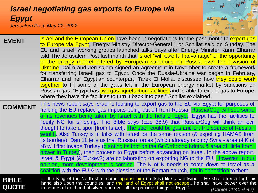### <span id="page-3-0"></span>*[Israel negotiating gas exports to Europe via](#page-0-0)  Egypt Jerusalem Post, May 22, 2022*



| <b>EVENT</b>                 | <u>Israel and the European Union have been in negotiations for the past month to export gas</u><br>to Europe via Egypt, Energy Ministry Director-General Lior Schillat said on Sunday. The<br>EU and Israeli working groups launched talks days after Energy Minister Karin Elharrar<br>told The Jerusalem Post last month that Israel "will take full advantage" of the opportunity<br>in the energy market offered by European sanctions on Russia over the invasion of<br>Ukraine. Cairo and Jerusalem signed an agreement in November to create a framework<br>for transferring Israeli gas to Egypt. Once the Russia-Ukraine war began in February,<br>Elharrar and her Egyptian counterpart, Tarek El Molla, discussed how they could work<br>together to fill some of the gaps left in the European energy market by sanctions on<br>Russian gas. "Egypt has two gas liquefaction facilities and is able to export gas to Europe,<br>where they have the facilities to turn it back into gas," Schillat explained.                                                                                                                         |
|------------------------------|---------------------------------------------------------------------------------------------------------------------------------------------------------------------------------------------------------------------------------------------------------------------------------------------------------------------------------------------------------------------------------------------------------------------------------------------------------------------------------------------------------------------------------------------------------------------------------------------------------------------------------------------------------------------------------------------------------------------------------------------------------------------------------------------------------------------------------------------------------------------------------------------------------------------------------------------------------------------------------------------------------------------------------------------------------------------------------------------------------------------------------------------------|
| <b>COMMENT</b>               | This news report says Israel is looking to export gas to the EU via Egypt for purposes of<br>helping the EU replace gas imports being cut off from Russia. Russia/Gog will see some<br>of its revenues being taken by Israel with the help of Egypt. Egypt has the facilities to<br>liquify NG for shipping. The Bible says (Eze 38:9) that Russia/Gog will think an evil<br>thought to take a spoil [from Israel]. The spoil could be gas and oil, the source of Russian<br>wealth. Also Turkey is in talks with Israel for the same reason (& expelling HAMAS from<br>its borders). Dan 11 tells us that Russian forces (which already occupy Syria - area of K of<br>N) will first invade Turkey (planting its foot on the Gr Orthodox hdqtrs & area of "little horn"<br>power in Turkey), then proceed to Egypt before advancing on Israel. In the above report,<br>Israel & Egypt (& Turkey?) are collaborating on exporting NG to the EU. However, in our<br>opinion, more development is coming. The K of N needs to come down to Israel as a<br>coalition with the EU & with the blessing of the Roman church, not in opposition to them. |
| <b>BIBLE</b><br><b>QUOTE</b> | the King of the North shall come against him (Turkey) like a whirlwind He shall stretch forth his hand also upon the countries: and the land of Egypt shall not escapehe shall have power over the<br>treasures of gold and of silver, and over all the precious things of Egypt:<br>(Daniel 11:40 & 42)                                                                                                                                                                                                                                                                                                                                                                                                                                                                                                                                                                                                                                                                                                                                                                                                                                          |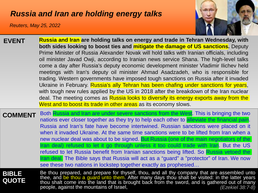### <span id="page-4-0"></span>*[Russia and Iran are holding energy talks](#page-0-0)*

*Reuters, May 25, 2022*



- **Russia and Iran are holding talks on energy and trade in Tehran Wednesday, with both sides looking to boost ties and mitigate the damage of US sanctions.** Deputy Prime Minister of Russia Alexander Novak will hold talks with Iranian officials, including oil minister Javad Owji, according to Iranian news service Shana. The high-level talks come a day after Russia's deputy economic development minister Vladimir Ilichev held meetings with Iran's deputy oil minister Ahmad Asadzadeh, who is responsible for trading. Western governments have imposed tough sanctions on Russia after it invaded Ukraine in February. Russia's ally Tehran has been chafing under sanctions for years, with tough new rules applied by the US in 2018 after the breakdown of the Iran nuclear deal. The meeting comes as Russia looks to diversify its energy exports away from the West and to boost its trade in other areas as its economy slows. **EVENT**
- **COMMENT** Both Russia and Iran are under severe sanctions from the West. This is bringing the two nations ever closer together as they try to help each other to alleviate the financial pain. Russia and Iran's fate have become intertwined. Russian sanctions were placed on it when it invaded Ukraine. At the same time sanctions were to be lifted from Iran when a new nuclear deal was about to be signed. But Russia (one of the main negotiators of the Iran deal) refused to let it go through unless it too could trade with Iran. But the US refused to let Russia benefit from Iranian sanctions being lifted. So Russia vetoed the Iran deal. The Bible says that Russia will act as a "guard" a "protector" of Iran. We now see these two nations in lockstep together exactly as prophesied…

**BIBLE QUOTE**

Be thou prepared, and prepare for thyself, thou, and all thy company that are assembled unto thee, and be thou a guard unto them. After many days thou shalt be visited: in the latter years thou shalt come into the land that is brought back from the sword, and is gathered out of many people, against the mountains of Israel, *(Ezekiel 38:7-8)*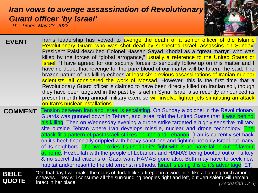## <span id="page-5-0"></span>*[Iran vows to avenge assassination of Revolutiona](#page-0-0)ry Guard officer 'by Israel'*

*The Times, May 23, 2022*

| <b>EVENT</b>                 | Iran's leadership has vowed to avenge the death of a senior officer of the Islamic<br>Revolutionary Guard who was shot dead by suspected Israeli assassins on Sunday.<br>President Raisi described Colonel Hassan Sayad Khodai as a "great martyr" who was<br>killed by the forces of "global arrogance," usually a reference to the United States or<br><b>Israel</b> . "I have agreed for our security forces to seriously follow up on this matter and I<br>have no doubt that revenge for the pure blood of our martyr will be taken," he said. The<br>brazen nature of his killing echoes at least six previous assassinations of Iranian nuclear<br>scientists, all considered the work of Mossad. However, this is the first time that a<br>Revolutionary Guard officer is claimed to have been directly killed on Iranian soil, though<br>they have been targeted in the past by Israel in Syria. Israel also recently announced its<br>present month-long annual military exercise will involve fighter jets simulating an attack<br>on Iran's nuclear installations. |
|------------------------------|--------------------------------------------------------------------------------------------------------------------------------------------------------------------------------------------------------------------------------------------------------------------------------------------------------------------------------------------------------------------------------------------------------------------------------------------------------------------------------------------------------------------------------------------------------------------------------------------------------------------------------------------------------------------------------------------------------------------------------------------------------------------------------------------------------------------------------------------------------------------------------------------------------------------------------------------------------------------------------------------------------------------------------------------------------------------------------|
| <b>COMMENT</b>               | Tension between Iran and Israel is escalating. On Sunday a colonel in the Revolutionary<br>Guards was gunned down in Tehran, and Israel told the United States that it was behind<br>his killing. Then on Wednesday evening a drone strike targeted a highly sensitive military<br>site outside Tehran where Iran develops missile, nuclear and drone technology. The<br>attack fit a pattern of past Israeli strikes on Iran and Lebanon. [Iran is currently set back<br>on it's heel; financially crippled with heavy sanctions and fighting not only Israel but many<br>of its neighbors. The two proxies it's used in it's fight with Israel have fallen out of favour<br>at home: Hezbollah with the people of Lebanon, and HAMAS being booted out of Turkey<br>& no secret that citizens of Gaza want HAMAS gone also. Both may have to seek new<br>habitat and/or resort to the old terrorist methods. <b>Israel is using this to it's advantage</b> . ET                                                                                                               |
| <b>BIBLE</b><br><b>QUOTE</b> | "On that day I will make the clans of Judah like a firepot in a woodpile, like a flaming torch among<br>sheaves. They will consume all the surrounding peoples right and left, but Jerusalem will remain<br>intact in her place.<br>(Zacharish 12:6)                                                                                                                                                                                                                                                                                                                                                                                                                                                                                                                                                                                                                                                                                                                                                                                                                           |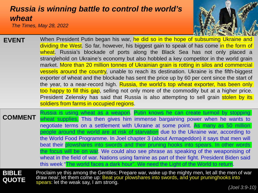## <span id="page-6-0"></span>*[Russia is winning battle to control the world's](#page-0-0)  wheat*

*The Times, May 28, 2022*



- **EVENT** When President Putin began his war, he did so in the hope of subsuming Ukraine and dividing the West. So far, however, his biggest gain to speak of has come in the form of wheat. Russia's blockade of ports along the Black Sea has not only placed a stranglehold on Ukraine's economy but also hobbled a key competitor in the world grain market. More than 20 million tonnes of Ukrainian grain is rotting in silos and commercial vessels around the country, unable to reach its destination. Ukraine is the fifth-biggest exporter of wheat and the blockade has sent the price up by 60 per cent since the start of the year, to a near-record high. Russia, the world's top wheat exporter, has been only too happy to fill this gap, selling not only more of the commodity but at a higher price. President Zelensky has said that Russia is also attempting to sell grain stolen by its soldiers from farms in occupied regions.
- **COMMENT** Russia is using wheat as a weapon. Putin knows he can create turmoil by stopping wheat supplies. This then gives him immense bargaining power when he wants to negotiate terms on a settlement with Ukraine at some point. As many as 50 million people around the world are at risk of starvation due to the Ukraine war, according to the World Food Programme. In Joel chapter 3 (about Armageddon) it says that men will beat their plowshares into swords and their pruning hooks into spears. In other words the focus will be on war. We could also see phrase as speaking of the weaponising of wheat in the field of war. Nations using famine as part of their fight. President Biden said this week "The world faces a dark hour". We need the Light of the World to return.

**BIBLE QUOTE** Proclaim ye this among the Gentiles; Prepare war, wake up the mighty men, let all the men of war draw near; let them come up: Beat your plowshares into swords, and your pruninghooks into spears: let the weak say, I am strong. *(Joel 3:9-10)*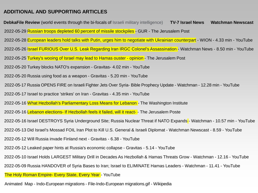#### <span id="page-7-0"></span>**[ADDITIONAL AND SUPPORTING ARTICLES](#page-0-0)**

**DebkaFile Review** [\(world events through the bi-focals of Israeli military intelligence\)](https://www.debka.com/review/) [2022-05-12 Will Russia invade Finland next -](https://www.youtube.com/watch?v=wm1PfiUXF6k) Gravitas - 6.38 - YouTube [2022-05-20 Turkey blocks NATO's expansion -](https://www.youtube.com/watch?v=wn5KvS6a190) Gravitas- 4.02 min - YouTube Animated Map - Indo-European migrations - [File-Indo-European migrations.gif -](https://en.wikipedia.org/wiki/File:Indo-European_migrations.gif#/media/File:Indo-European_migrations.gif) Wikipedia [2022-05-26 Israel FURIOUS Over U.S. Leak Regarding Iran IRGC Colonel's Assassination -](https://www.youtube.com/watch?v=HasWEDcpN8E) Watchman News - 8.50 min - YouTube [2022-05-16 What Hezbollah's Parliamentary Loss Means for Lebanon -](https://www.washingtoninstitute.org/policy-analysis/what-hezbollahs-parliamentary-loss-means-lebanon) The Washington Institute [2022-05-25 Turkey's wooing of Israel may lead to Hamas ouster -](https://www.jpost.com/opinion/article-707698) opinion - The Jerusalem Post [2022-05-17 Israel to practice 'strikes' on Iran -](https://www.youtube.com/watch?v=FvvxeLsQ7so) Gravitas - 4.35 min - YouTube [2022-05-10 Israel Holds LARGEST Military Drill in Decades As Hezbollah & Hamas Threats Grow -](https://www.youtube.com/watch?v=wmz7AIcQkYA) Watchman - 12.16 - YouTube [2022-05-12 Leaked paper hints at Russia's economic collapse -](https://www.youtube.com/watch?v=Vdx07VkJqfA) Gravitas - 5.14 - YouTube [2022-05-09 Russia HANDOVER of Syria Bases to Iran; Israel to ELIMINATE Hamas Leaders -](https://www.youtube.com/watch?v=MwffUe1SeKE) Watchman - 11.41 - YouTube [2022-05-13 Did Israel's Mossad FOIL Iran Plot to Kill U.S. General & Israeli Diplomat -](https://www.youtube.com/watch?v=OpzUYoINIVE) Watchman Newscast - 8.59 - YouTube [The Holy Roman Empire-](https://www.youtube.com/watch?v=_DzOH98Q6TQ&t=95s) Every State, Every Year - YouTube **[TV-7 Israel News](https://www.youtube.com/watch?v=gzvrBjIeGP4)**  2022-05-16 Lebanon elections- [If Hezbollah feels it failed, will it react- -](https://www.jpost.com/middle-east/article-706850) The Jerusalem Poste **[Watchman Newscast](https://www.youtube.com/channel/UCD8YGIxFCnVqv-ZGqgtVWAg)**  [2022-05-28 European leaders hold talks with Putin, urges him to negotiate with Ukrainian counterpart](https://www.youtube.com/watch?v=_dJrtOgoiDM) - WION - 4.33 min - YouTube [2022-05-16 Israel DESTROYS Syria Underground Site; Russia Nuclear Threat if NATO Expands](https://www.youtube.com/watch?v=LftU2XqTXLM) - Watchman - 10.57 min - YouTube [2022-05-20 Russia using food as a weapon -](https://www.youtube.com/watch?v=BReYVzJQSok) Gravitas - 5.20 min - YouTube [2022-05-17 Russia OPENS FIRE on Israeli Fighter Jets Over Syria-](https://www.youtube.com/watch?v=ydMB4RFhnUo) Bible Prophecy Update - Watchman - 12.28 min - YouTube [2022-05-29 Russian troops depleted 60 percent of missile stockpiles -](https://www.jpost.com/international/article-707903) GUR - The Jerusalem Post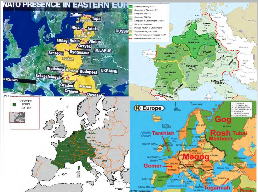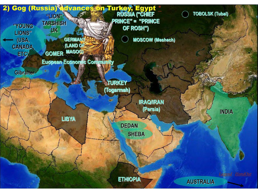